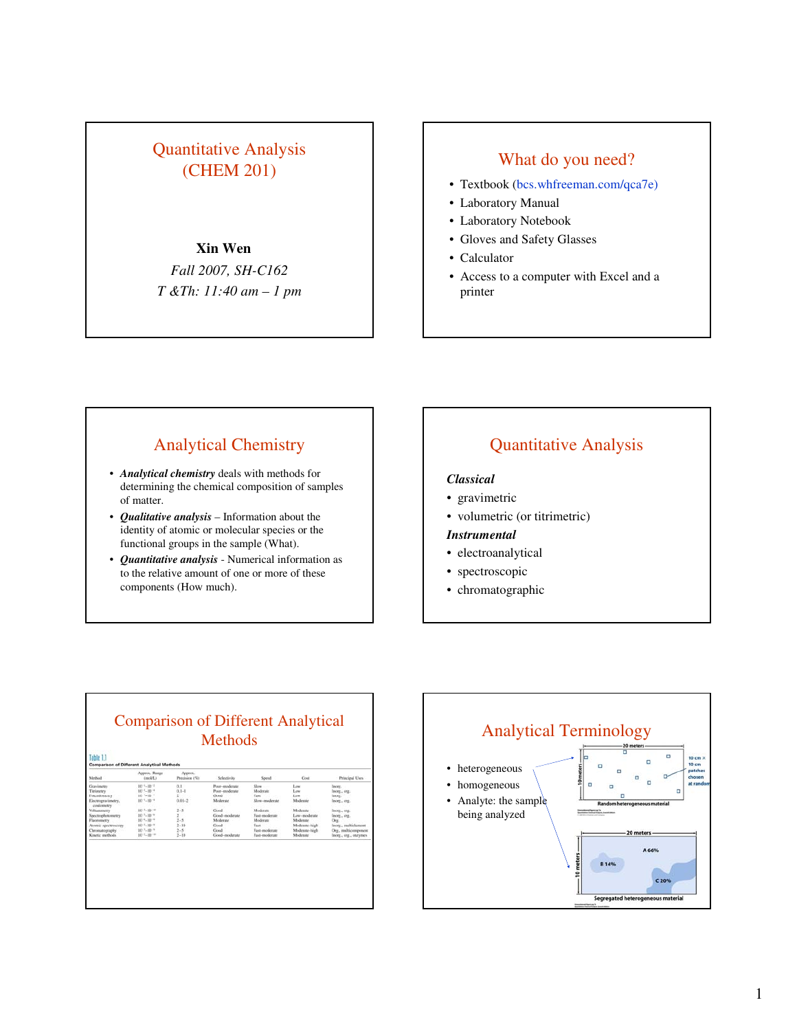# Quantitative Analysis IT UNIVERSITY NUMBER 1983<br>
(CHEM 201) STREET NUMBER 1984 What do you need?

## **Xin Wen**

*Fall 2007, SH-C162 T &Th: 11:40 am – 1 pm*

- Textbook (bcs.whfreeman.com/qca7e)
- Laboratory Manual
- Laboratory Notebook
- Gloves and Safety Glasses
- Calculator
- Access to a computer with Excel and a printer

# Analytical Chemistry

- *Analytical chemistry* deals with methods for determining the chemical composition of samples of matter.
- *Qualitative analysis* Information about the identity of atomic or molecular species or the functional groups in the sample (What).
- *Quantitative analysis* Numerical information as to the relative amount of one or more of these components (How much).

# Quantitative Analysis

### *Classical*

- gravimetric
- volumetric (or titrimetric)
- *Instrumental*
- electroanalytical
- spectroscopic
- chromatographic

| Method                           | Approx. Range<br>(mod(L)) | Approx.<br>Precision (%). | Selectivity    | Speed         | Cost          | Principal Uses        |
|----------------------------------|---------------------------|---------------------------|----------------|---------------|---------------|-----------------------|
| Gravimetry                       | $10^{-1} - 10^{-2}$       | 0.1                       | Poor-moderate  | Slow          | Low           | Incer.                |
| Titrimetry                       | $10^{-1} - 10^{-4}$       | $0.1 - 1$                 | Poor, moderate | Moderate      | Long          | Inceg., org.          |
| Potcationicity                   | $10^{-1} - 10^{-4}$       | ż                         | Good           | Fast.         | Low           | Inorg.                |
| Electrogravimetry,<br>coulometry | $10^{-1} - 10^{-4}$       | $0.01 - 2$                | Moderate       | Slow-moderate | Moderate      | Inorg., org.          |
| Voltammetry                      | 1015-1017                 | $2 - 5$                   | Good           | Moderate      | Mislerate     | lisorg org.           |
| Spectrophotometry                | $10^{-1} - 10^{-4}$       | $\mathbf{z}$              | Good-moderate  | Fast-mederate | Low-mederate  | Inone, org.           |
| Flaorometry                      | $10^{-4} - 10^{-9}$       | $2 - 5$                   | Miderate       | Moderate      | Moderate      | Org.                  |
| Atomic spectroscopy              | $10^{-1} - 10^{-9}$       | $2 - 10$                  | Good           | Fast          | Moderate-high | Inorg., maltielement  |
| Chromatography                   | $10^{-3}-10^{-9}$         | $2 - 5$                   | Good           | Fast-moderate | Moderate-high | Org., multicomponent  |
| Kinetic methods                  | $10^{-2} - 10^{-94}$      | $2 - 10$                  | Good-moderate  | Fast-moderate | Moderate      | Inorg., org., enzymes |

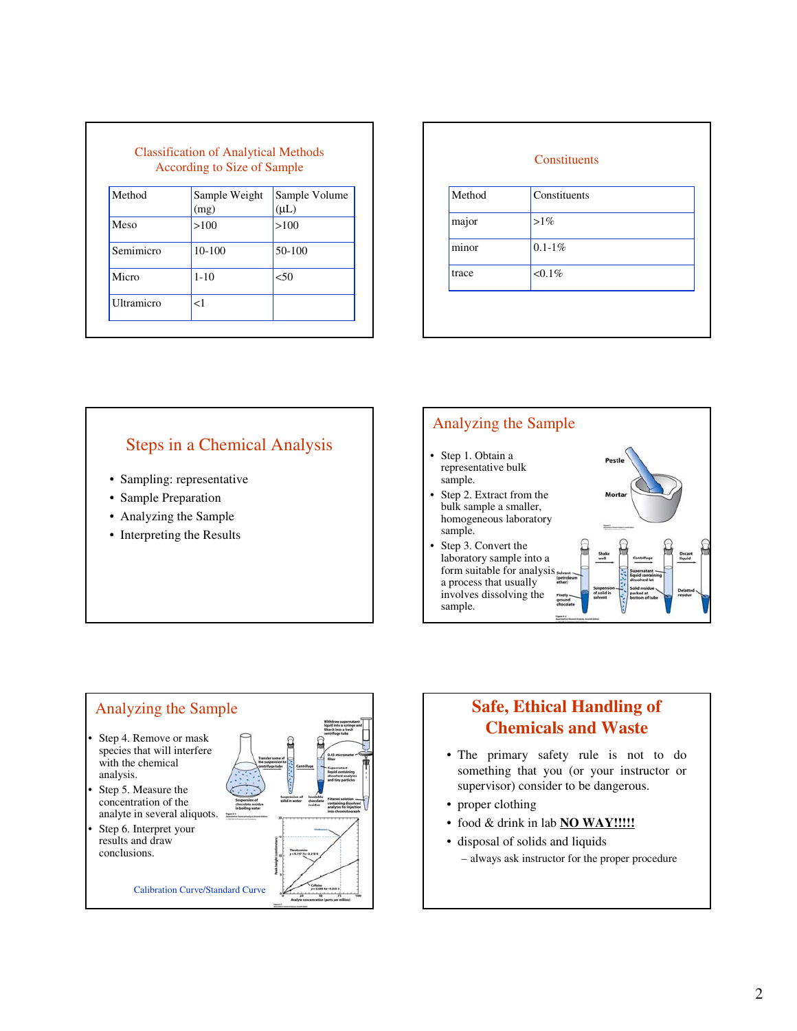|            | According to Size of Sample |                            |
|------------|-----------------------------|----------------------------|
| Method     | Sample Weight<br>(mg)       | Sample Volume<br>$(\mu L)$ |
| Meso       | >100                        | >100                       |
| Semimicro  | $10-100$                    | $50-100$                   |
| Micro      | $1 - 10$                    | < 50                       |
| Ultramicro | $<$ 1                       |                            |

| Method | Constituents |  |
|--------|--------------|--|
| major  | $>1\%$       |  |
| minor  | $0.1 - 1\%$  |  |
| trace  | $< 0.1\%$    |  |

# Steps in a Chemical Analysis

- Sampling: representative
- Sample Preparation
- Analyzing the Sample
- Interpreting the Results





# **Safe, Ethical Handling of Chemicals and Waste**

- The primary safety rule is not to do something that you (or your instructor or supervisor) consider to be dangerous.
- proper clothing
- food & drink in lab **NO WAY!!!!!**
- disposal of solids and liquids
	- always ask instructor for the proper procedure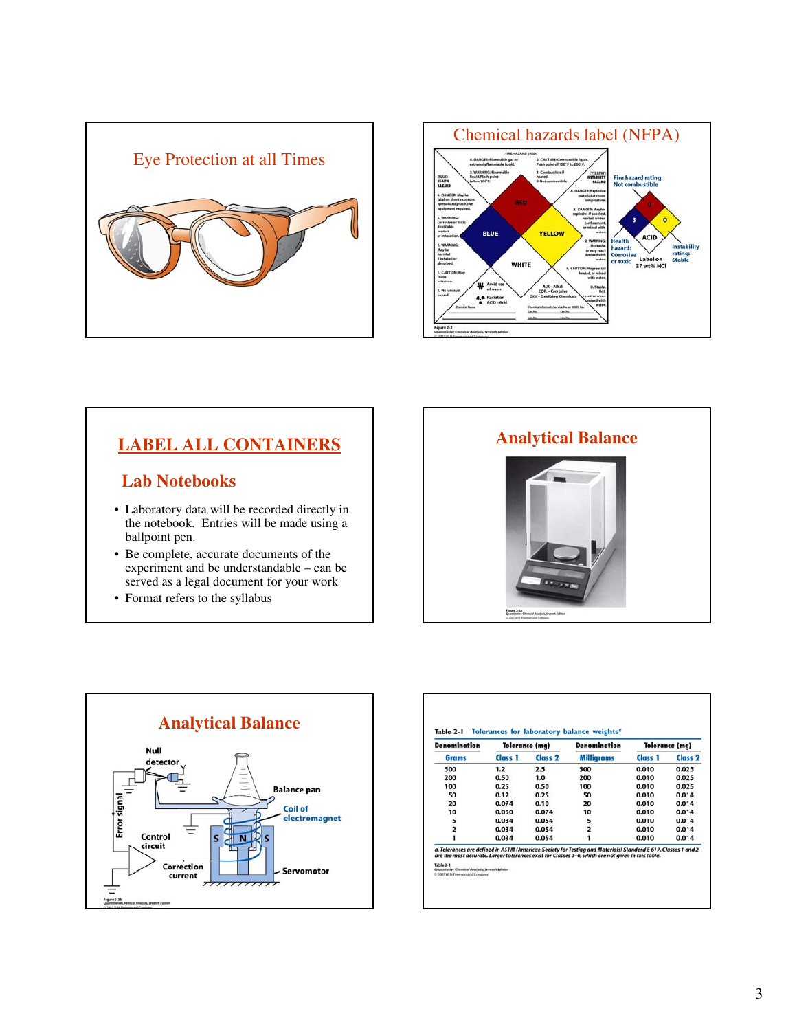



# **LABEL ALL CONTAINERS**

# **Lab Notebooks**

- Laboratory data will be recorded directly in the notebook. Entries will be made using a ballpoint pen.
- Be complete, accurate documents of the experiment and be understandable – can be served as a legal document for your work
- Format refers to the syllabus





| <b>Denomination</b> | <b>Tolerance (mg)</b> |                    | <b>Denomination</b> |         | <b>Tolerance (mg)</b> |
|---------------------|-----------------------|--------------------|---------------------|---------|-----------------------|
| Grams               | Class 1               | Class <sub>2</sub> | <b>Milligrams</b>   | Class 1 | Class <sub>2</sub>    |
| 500                 | 1.2                   | 2.5                | 500                 | 0.010   | 0.025                 |
| 200                 | 0.50                  | 1.0                | 200                 | 0.010   | 0.025                 |
| 100                 | 0.25                  | 0.50               | 100                 | 0.010   | 0.025                 |
| 50                  | 0.12                  | 0.25               | 50                  | 0.010   | 0.014                 |
| 20                  | 0.074                 | 0.10               | 20                  | 0.010   | 0.014                 |
| 10                  | 0.050                 | 0.074              | 10                  | 0.010   | 0.014                 |
| 5                   | 0.034                 | 0.054              | 5                   | 0.010   | 0.014                 |
|                     | 0.034                 | 0.054              |                     | 0.010   | 0.014                 |
|                     | 0.034                 | 0.054              |                     | 0.010   | 0.014                 |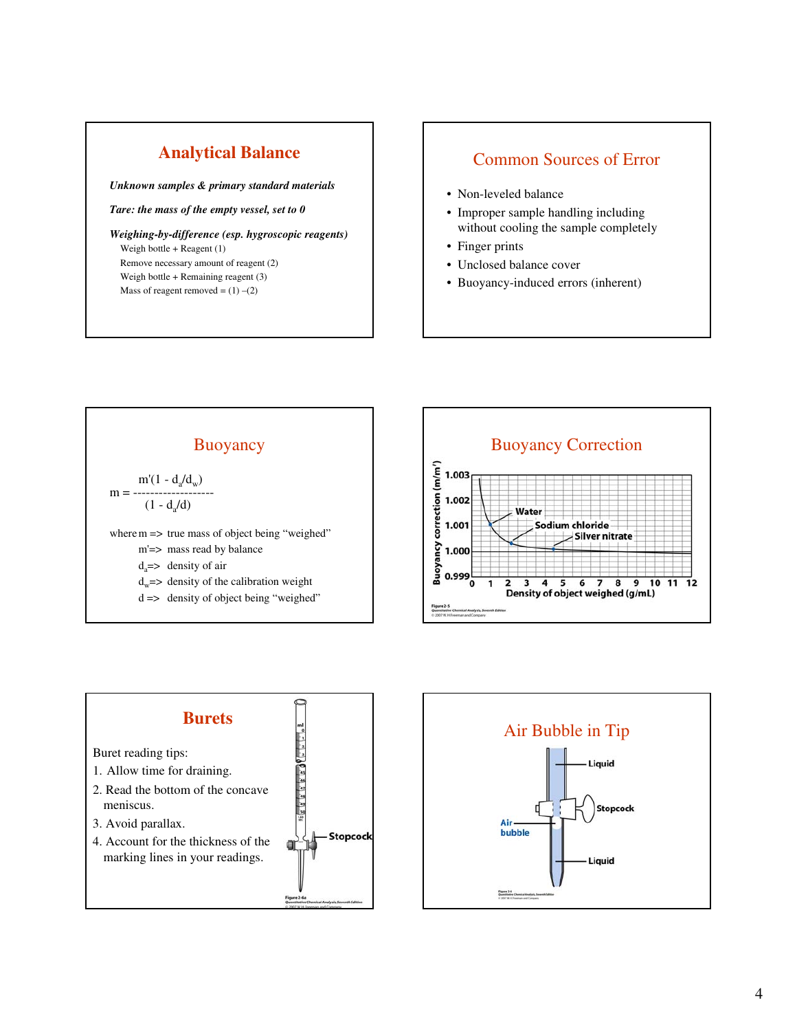# **Analytical Balance**

*Unknown samples & primary standard materials*

*Tare: the mass of the empty vessel, set to 0*

*Weighing-by-difference (esp. hygroscopic reagents)* Weigh bottle + Reagent (1) Remove necessary amount of reagent (2) Weigh bottle + Remaining reagent (3) Mass of reagent removed =  $(1)$  – $(2)$ 

# Common Sources of Error

- Non-leveled balance
- Improper sample handling including without cooling the sample completely
- Finger prints
- Unclosed balance cover
- Buoyancy-induced errors (inherent)







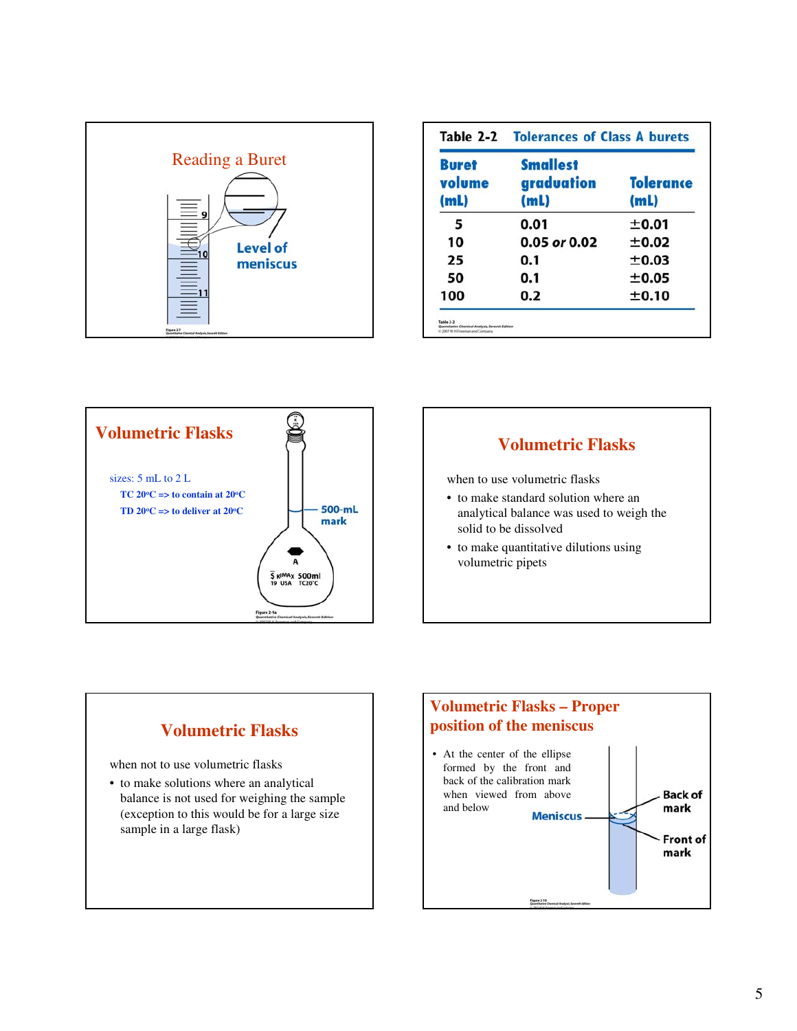

| <b>Buret</b><br>volume<br>(m <sub>L</sub> ) | <b>Smallest</b><br>graduation<br>(mL) | <b>Tolerance</b><br>(mL) |  |
|---------------------------------------------|---------------------------------------|--------------------------|--|
| 5                                           | 0.01                                  | ±0.01                    |  |
| 10                                          | $0.05$ or $0.02$                      | ±0.02                    |  |
| 25                                          | 0.1                                   | ±0.03                    |  |
| 50                                          | 0.1                                   | ±0.05                    |  |
| 100                                         | 0.2                                   | ±0.10                    |  |





when to use volumetric flasks

- to make standard solution where an analytical balance was used to weigh the solid to be dissolved
- to make quantitative dilutions using volumetric pipets



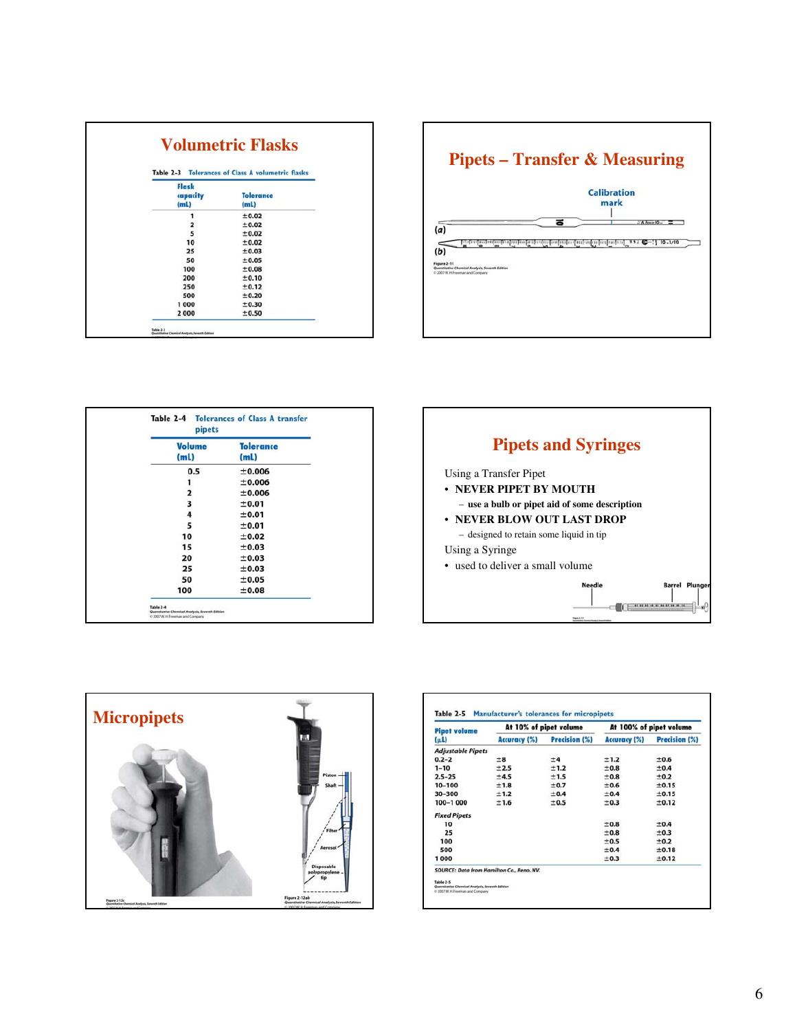|                                        | Table 2-3 Tolerances of Class A volumetric flasks |
|----------------------------------------|---------------------------------------------------|
| Flask<br>capacity<br>(m <sub>L</sub> ) | <b>Tolerance</b><br>(m <sub>L</sub> )             |
| 1                                      | ±0.02                                             |
| 2<br>5                                 | ±0.02                                             |
|                                        | ±0.02                                             |
| 10                                     | ±0.02                                             |
| 25                                     | ±0.03                                             |
| 50                                     | ±0.05                                             |
| 100                                    | ±0.08                                             |
| 200                                    | ±0.10                                             |
| 250                                    | ±0.12                                             |
| 500                                    | ±0.20                                             |
| 1000                                   | ±0.30                                             |
| 2000                                   | ±0.50                                             |



| Volume<br>(m <sub>L</sub> ) | <b>Tolerance</b><br>(mL) |
|-----------------------------|--------------------------|
|                             |                          |
| 0.5                         | ±0.006<br>±0.006         |
| $\overline{\mathbf{2}}$     | ±0.006                   |
| 3                           | ±0.01                    |
| 4                           | ±0.01                    |
| 5                           | ±0.01                    |
| 10                          | ±0.02                    |
| 15                          | ±0.03                    |
| 20                          | ±0.03                    |
| 25                          | ±0.03                    |
| 50                          | ±0.05                    |
| 100                         | ±0.08                    |





| <b>Pipet volume</b>      |              | At 10% of pipet volume | At 100% of pipet volume |               |  |
|--------------------------|--------------|------------------------|-------------------------|---------------|--|
| $(\mu l)$                | Accuracy (%) | Precision (%)          | Accuracy (%)            | Precision (%) |  |
| <b>Adjustable Pipets</b> |              |                        |                         |               |  |
| $0.2 - 2$                | ±8           | $+4$                   | ±1.2                    | $+0.6$        |  |
| $1 - 10$                 | $+2.5$       | $+1.2$                 | $+0.8$                  | $+0.4$        |  |
| $2.5 - 25$               | $+4.5$       | $+1.5$                 | $+0.8$                  | $+0.2$        |  |
| 10-100                   | ±1.8         | ±0.7                   | $+0.6$                  | ±0.15         |  |
| 30-300                   | ±1.2         | ±0.4                   | $+0.4$                  | ±0.15         |  |
| 100-1 000                | ±1.6         | ±0.5                   | $+0.3$                  | ±0.12         |  |
| <b>Fixed Pipets</b>      |              |                        |                         |               |  |
| 10                       |              |                        | $+0.8$                  | $+0.4$        |  |
| 25                       |              |                        | ±0.8                    | ±0.3          |  |
| 100                      |              |                        | $+0.5$                  | $+0.2$        |  |
| 500                      |              |                        | ±0.4                    | ±0.18         |  |
| 1000                     |              |                        | ±0.3                    | ±0.12         |  |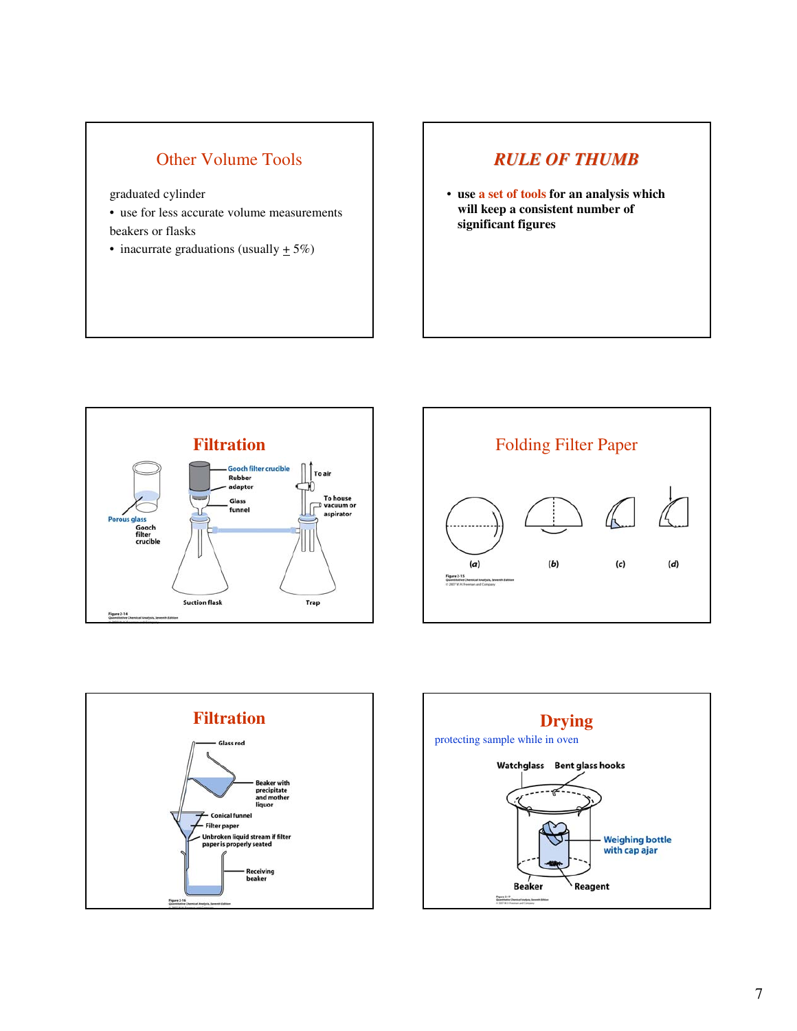# Other Volume Tools

graduated cylinder

- use for less accurate volume measurements beakers or flasks
- inacurrate graduations (usually  $\pm$  5%)

# *RULE OF THUMB*

• **use a set of tools for an analysis which will keep a consistent number of significant figures**







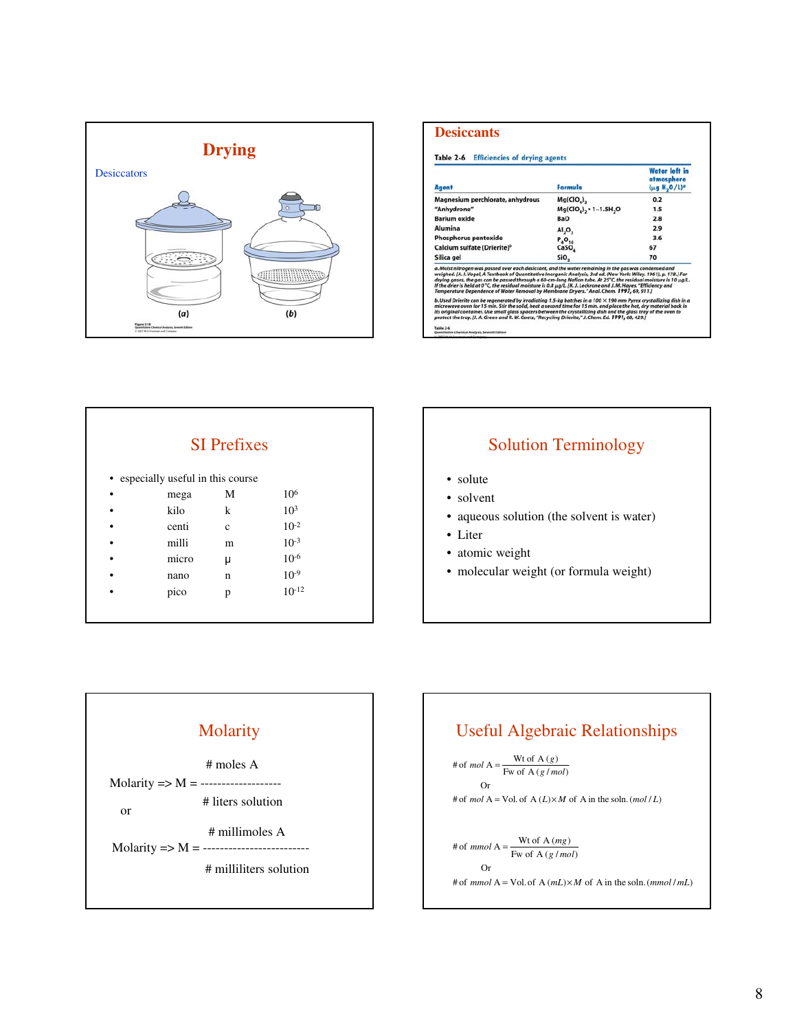

| Agent                                                                                                                                                                                                                                                                                                                                                                                                                                                                                                                                                            | Formula                            | <b>Water left in</b><br>atmosphere<br>(μg H <sub>2</sub> O/L) <sup>a</sup> |
|------------------------------------------------------------------------------------------------------------------------------------------------------------------------------------------------------------------------------------------------------------------------------------------------------------------------------------------------------------------------------------------------------------------------------------------------------------------------------------------------------------------------------------------------------------------|------------------------------------|----------------------------------------------------------------------------|
| Magnesium perchlorate, anhydrous                                                                                                                                                                                                                                                                                                                                                                                                                                                                                                                                 | Mg(CIO <sub>n</sub> ) <sub>n</sub> | 0.2                                                                        |
| "Anhydrone"                                                                                                                                                                                                                                                                                                                                                                                                                                                                                                                                                      | Mg(ClO <sub>a</sub> ), - 1-1.5H, O | 1.5                                                                        |
| <b>Barium</b> oxide                                                                                                                                                                                                                                                                                                                                                                                                                                                                                                                                              | <b>BaO</b>                         | 2.8                                                                        |
| Alumina                                                                                                                                                                                                                                                                                                                                                                                                                                                                                                                                                          | AI, O,                             | 2.9                                                                        |
| <b>Phosphorus pentoxide</b>                                                                                                                                                                                                                                                                                                                                                                                                                                                                                                                                      | $P_4O_{10}$                        | 3.6                                                                        |
| Calcium sulfate (Drierite) <sup>b</sup>                                                                                                                                                                                                                                                                                                                                                                                                                                                                                                                          | CaSO,                              | 67                                                                         |
| Silica gel                                                                                                                                                                                                                                                                                                                                                                                                                                                                                                                                                       | SiO,                               | 70                                                                         |
| a. Moist nitrogen was passed over each desiccant, and the water remaining in the gas was condensed and<br>weighed, [A.J. Vogel, A Textbook of Quantitative Inorganic Analysis, 3rd ed. (New York: Wiley, 1961), p. 178.] For<br>drying gases, the gas can be passed through a 60-cm-long Nafion tube. At 25°C, the residual moisture is 10 µg/L.<br>If the drier is held at 0°C, the residual moisture is 0.8 µg/L, [K. J. Leckrone and J. M. Hayes. "Efficiency and<br>Temperature Dependence of Water Removal by Membrane Dryers." Anal. Chem. 1997, 69, 911.] |                                    |                                                                            |
| b. Used Drierite can be regenerated by irradiating 1.5-kg batches in a 100 $\times$ 190 mm Pyrex crystallizing dish in a<br>microwave oven for 15 min. Stir the solid, heat a second time for 15 min, and place the hot, dry material back in<br>its original container. Use small glass spacers between the crystallizing dish and the glass tray of the oven to<br>protect the tray. [J. A. Green and R. W. Goetz, "Recycling Drierite," J. Chem. Ed. 1991, 68, 429.]<br>Table 3-6<br>Quantitative Chemical Analysis, Seventh Edition                          |                                    |                                                                            |

|   |                                    | <b>SI</b> Prefixes |                 |
|---|------------------------------------|--------------------|-----------------|
|   | • especially useful in this course |                    |                 |
| ٠ | mega                               | M                  | 10 <sup>6</sup> |
|   | kilo                               | k                  | 10 <sup>3</sup> |
|   | centi                              | c                  | $10^{-2}$       |
|   | milli                              | m                  | $10^{-3}$       |
|   | micro                              | μ                  | $10^{-6}$       |
|   | nano                               | n                  | $10^{-9}$       |
|   | pico                               | p                  | $10^{-12}$      |

# Solution Terminology

- solute
- solvent
- aqueous solution (the solvent is water)
- Liter
- atomic weight
- molecular weight (or formula weight)



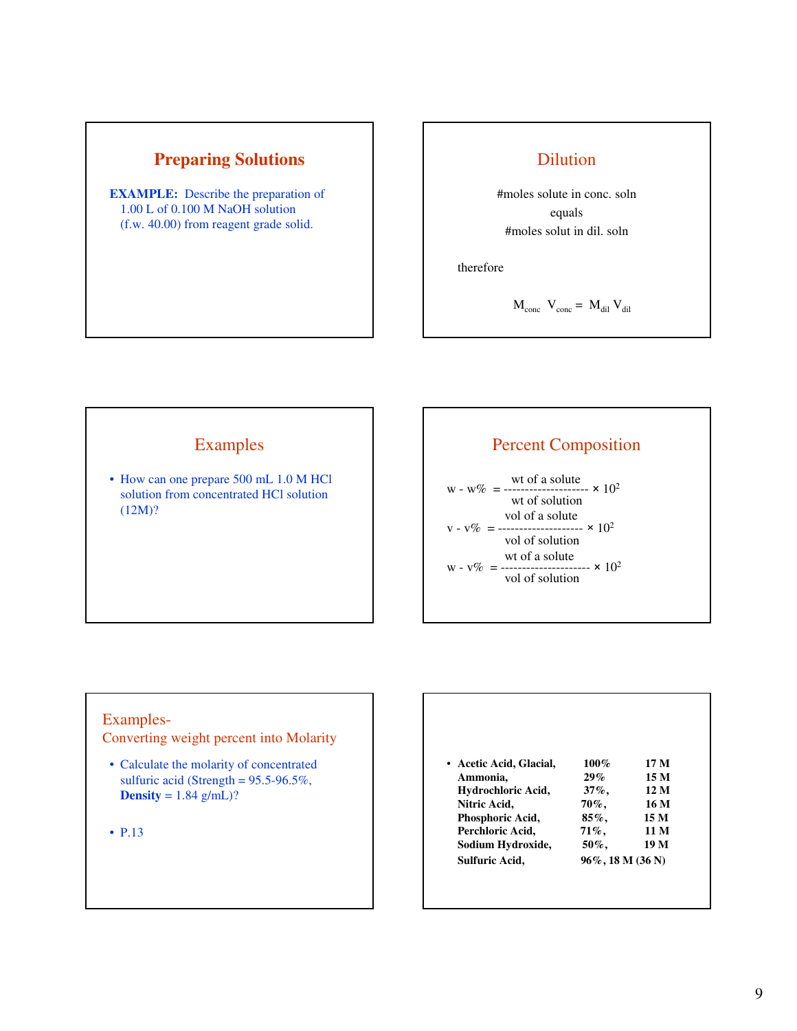

**EXAMPLE:** Describe the preparation of 1.00 L of 0.100 M NaOH solution (f.w. 40.00) from reagent grade solid.

# Dilution

#moles solute in conc. soln equals #moles solut in dil. soln

therefore

$$
M_{\rm conc} V_{\rm conc} = M_{\rm dil} V_{\rm dil}
$$

# Examples

• How can one prepare 500 mL 1.0 M HCl solution from concentrated HCl solution (12M)?

# Percent Composition

wt of a solute<br> $w - w\% =$  --------------------  $\times 10^2$ wt of solution vol of a solute  $v - v\% =$  ---------------------  $\times 10^2$ vol of solution wt of a solute<br> $w - v\% =$  ---------------------  $\times 10^2$ vol of solution

## Examples-

Converting weight percent into Molarity

• Calculate the molarity of concentrated sulfuric acid (Strength =  $95.5-96.5\%$ , **Density** =  $1.84$  g/mL)?

• P.13

| • Acetic Acid, Glacial, | $100\%$  | 17 M |
|-------------------------|----------|------|
| Ammonia,                | 29%      | 15 M |
| Hydrochloric Acid,      | $37\%$ . | 12 M |
| Nitric Acid,            | 70%,     | 16 M |
| Phosphoric Acid,        | $85\%$ . | 15 M |
| Perchloric Acid,        | 71%,     | 11 M |
| Sodium Hydroxide,       | 50%,     | 19 M |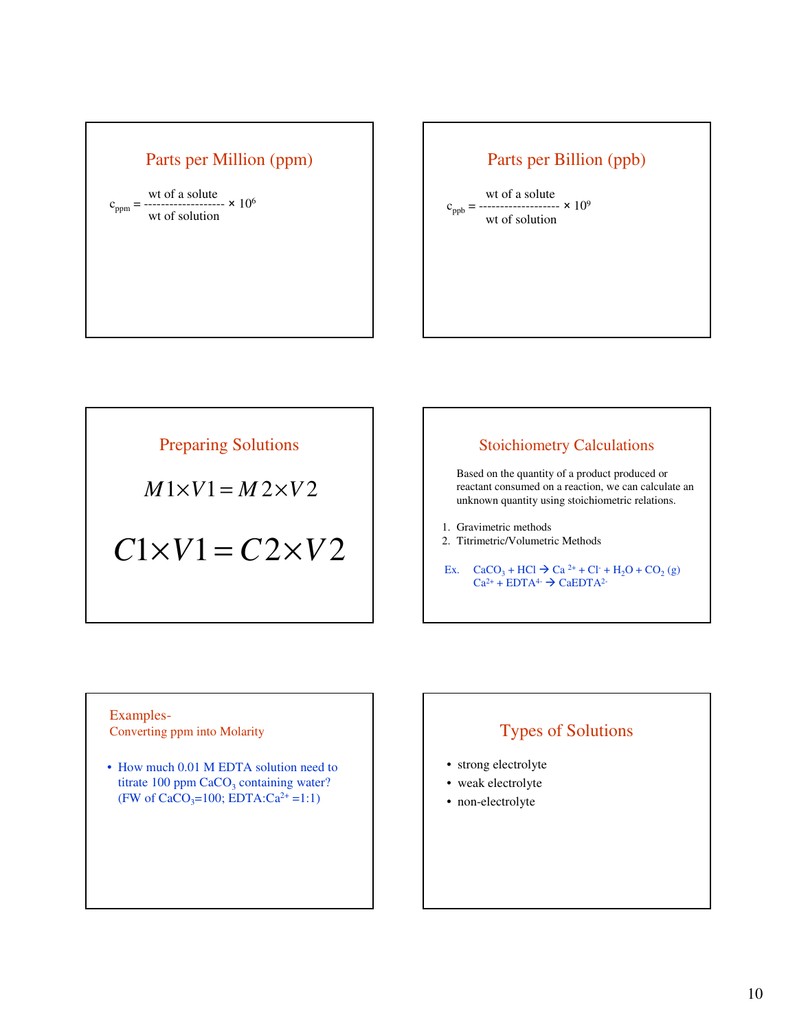# Parts per Million (ppm)

wt of a solute<br> $\frac{10^{6}}{200}$  × 10<sup>6</sup>  $c_{ppm} = -$ --wt of solution

# Parts per Billion (ppb)

wt of a solute  $c_{\text{ppb}} =$  -------------------  $\times 10^9$ wt of solution

Preparing Solutions

 $M1\times V1 = M2\times V2$ 

 $C1\times V1 = C2\times V2$ 

# Stoichiometry Calculations

Based on the quantity of a product produced or reactant consumed on a reaction, we can calculate an unknown quantity using stoichiometric relations.

1. Gravimetric methods

2. Titrimetric/Volumetric Methods

Ex.  $CaCO_3 + HCl \rightarrow Ca^{2+} + Cl^- + H_2O + CO_2$  (g)  $Ca^{2+} + EDTA^{4-} \rightarrow CaEDTA^{2-}$ 

## Examples-Converting ppm into Molarity **Types of Solutions**

• How much 0.01 M EDTA solution need to titrate  $100$  ppm  $CaCO<sub>3</sub>$  containing water? (FW of  $CaCO_3=100$ ; EDTA: $Ca^{2+}=1:1$ )

- strong electrolyte
- weak electrolyte
- non-electrolyte